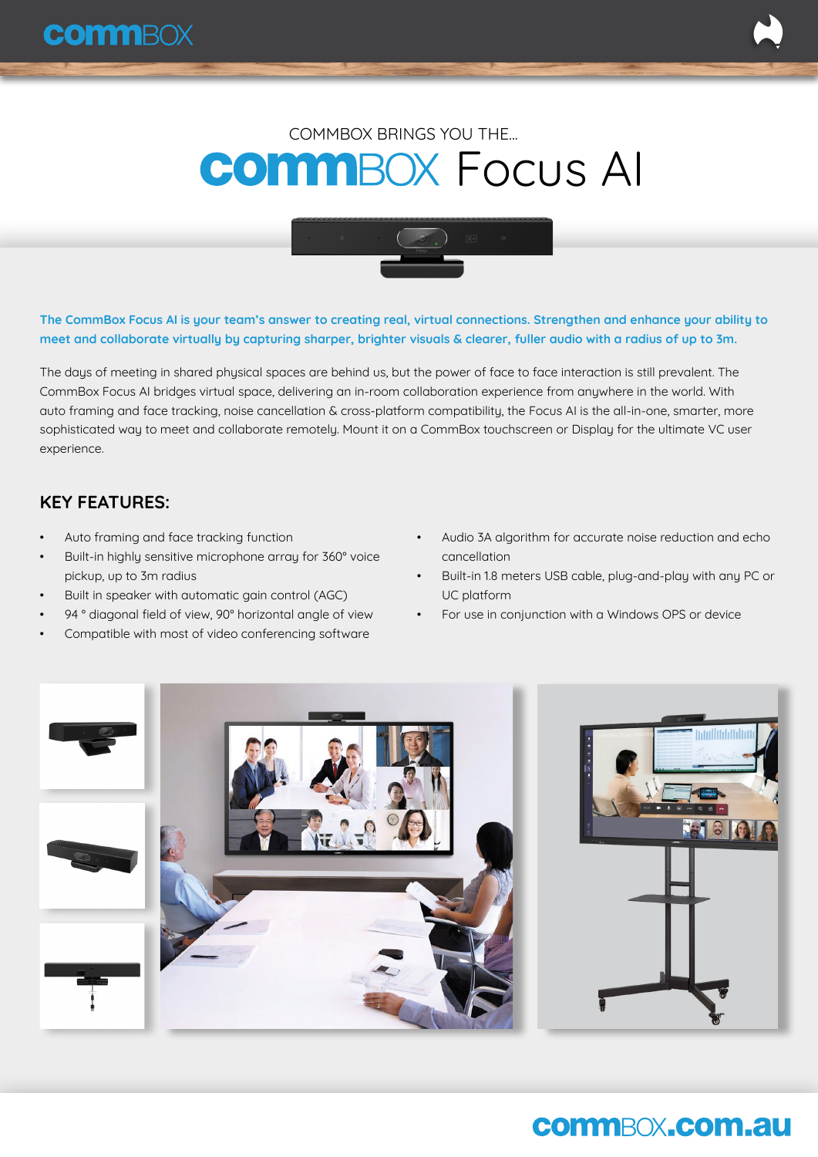# **COMMBOX FOCUS AI** COMMBOX BRINGS YOU THE...



**The CommBox Focus AI is your team's answer to creating real, virtual connections. Strengthen and enhance your ability to meet and collaborate virtually by capturing sharper, brighter visuals & clearer, fuller audio with a radius of up to 3m.** 

The days of meeting in shared physical spaces are behind us, but the power of face to face interaction is still prevalent. The CommBox Focus AI bridges virtual space, delivering an in-room collaboration experience from anywhere in the world. With auto framing and face tracking, noise cancellation & cross-platform compatibility, the Focus AI is the all-in-one, smarter, more sophisticated way to meet and collaborate remotely. Mount it on a CommBox touchscreen or Display for the ultimate VC user experience.

### **KEY FEATURES:**

- Auto framing and face tracking function
- Built-in highly sensitive microphone array for 360° voice pickup, up to 3m radius
- Built in speaker with automatic gain control (AGC)
- 94 ° diagonal field of view, 90° horizontal angle of view
- Compatible with most of video conferencing software
- Audio 3A algorithm for accurate noise reduction and echo cancellation
- Built-in 1.8 meters USB cable, plug-and-play with any PC or UC platform
- For use in conjunction with a Windows OPS or device



### **commBOX.com.au**